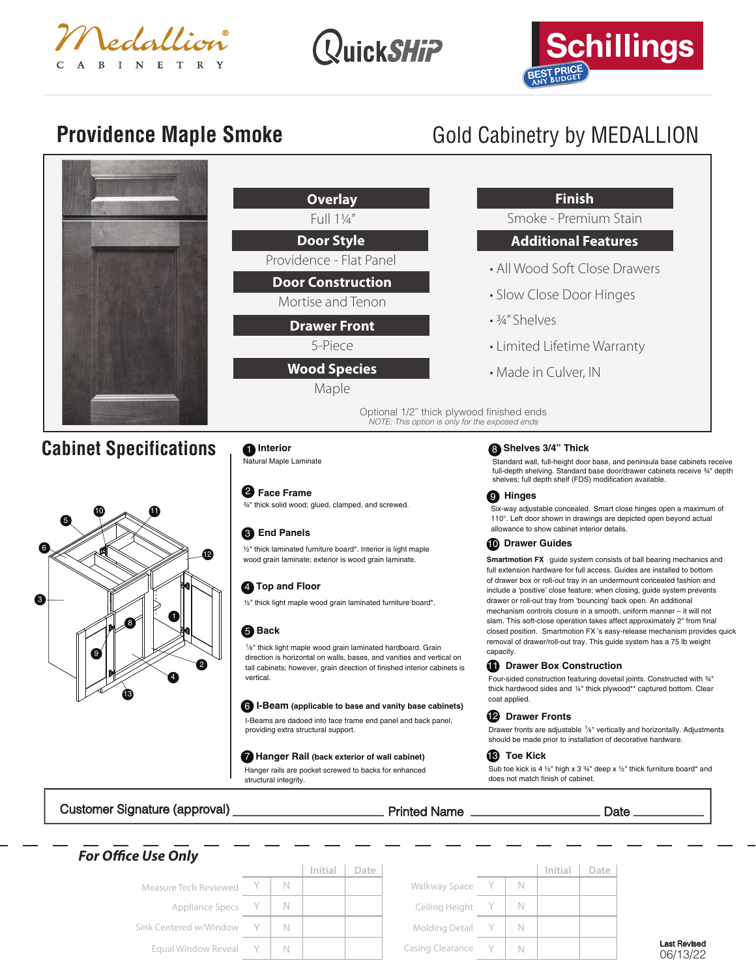





# **Providence Maple Smoke** Gold Cabinetry by MEDALLION



| <b>Overlay</b>                                | <b>Finish</b>                                                                                                                                                                                                 |  |  |  |  |  |
|-----------------------------------------------|---------------------------------------------------------------------------------------------------------------------------------------------------------------------------------------------------------------|--|--|--|--|--|
| Full 11/4"                                    | Smoke - Premium Stain                                                                                                                                                                                         |  |  |  |  |  |
| <b>Door Style</b>                             | <b>Additional Features</b>                                                                                                                                                                                    |  |  |  |  |  |
| Providence - Flat Panel                       | • All Wood Soft Close Drawers                                                                                                                                                                                 |  |  |  |  |  |
| <b>Door Construction</b><br>Mortise and Tenon | • Slow Close Door Hinges                                                                                                                                                                                      |  |  |  |  |  |
| <b>Drawer Front</b>                           | $\cdot$ 3/4" Shelves                                                                                                                                                                                          |  |  |  |  |  |
| 5-Piece                                       | • Limited Lifetime Warranty                                                                                                                                                                                   |  |  |  |  |  |
| <b>Wood Species</b><br>Maple                  | • Made in Culver, IN                                                                                                                                                                                          |  |  |  |  |  |
|                                               | Optional 1/2" thick plywood finished ends<br>NOTE: This option is only for the exposed ends                                                                                                                   |  |  |  |  |  |
| <b>n</b> Interior<br>Natural Maple Laminate   | <b>B</b> Shelves 3/4" Thick<br>Standard wall, full-height door base, and peninsula base<br>full-depth shelving. Standard base door/drawer cabinets<br>shelves; full depth shelf (FDS) modification available. |  |  |  |  |  |
| <b>2</b> Essa Exama                           |                                                                                                                                                                                                               |  |  |  |  |  |

# 3 **End Panels**

½" thick laminated furniture board\*. Interior is light maple wood grain laminate; exterior is wood grain laminate.

# **4** Top and Floor

½" thick light maple wood grain laminated furniture board\*.

### 5 **Back**

2

4

8 | N

1⁄8" thick light maple wood grain laminated hardboard. Grain tall cabinets; however, grain direction of finished interior cabinets is

### 6 **I-Beam (applicable to base and vanity base cabinets)**

providing extra structural support.

### 7 **Hanger Rail (back exterior of wall cabinet)**

Hanger rails are pocket screwed to backs for enhanced structural integrity.

Standard wall, full-height door base, and peninsula base cabinets receive receive 34" depth

# **Hinges** 9

Six-way adjustable concealed. Smart close hinges open a maximum of 110°. Left door shown in drawings are depicted open beyond actual allowance to show cabinet interior details.

### **D** Drawer Guides

**Smartmotion FX** guide system consists of ball bearing mechanics and full extension hardware for full access. Guides are installed to bottom of drawer box or roll-out tray in an undermount concealed fashion and include a 'positive' close feature; when closing, guide system prevents drawer or roll-out tray from 'bouncing' back open. An additional mechanism controls closure in a smooth, uniform manner – it will not slam. This soft-close operation takes affect approximately 2" from final closed position. Smartmotion FX 's easy-release mechanism provides quick removal of drawer/roll-out tray. This guide system has a 75 lb weight capacity.

# **Drawer Box Construction**

Four-sided construction featuring dovetail joints. Constructed with ¾" thick hardwood sides and 1/4" thick plywood\*\* captured bottom. Clear coat applied.

### **Drawer Fronts** 12

Drawer fronts are adjustable 1/8" vertically and horizontally. Adjustments should be made prior to installation of decorative hardware.

### **Toe Kick** 13

Sub toe kick is 4  $\frac{1}{2}$ " high x 3  $\frac{3}{4}$ " deep x  $\frac{1}{2}$ " thick furniture board\* and does not match finish of cabinet.

# Customer Signature (approval) Printed Name Date

13

9

5

6

10 11

 $\mathscr{A}$  and  $\mathscr{A}$  or

*For Oce Use Only*

| <b><i>FUL UTTICE USE UTTY</i></b> |   |         |      |                    |  |         |      |
|-----------------------------------|---|---------|------|--------------------|--|---------|------|
|                                   |   | Initial | Date |                    |  | Initial | Date |
| Measure Tech Reviewed             | N |         |      | Walkway Space      |  |         |      |
| Appliance Specs Y                 |   |         |      | Ceiling Height Y   |  |         |      |
| Sink Centered w/Window Y          |   |         |      | Molding Detail Y   |  |         |      |
| Equal Window Reveal Y             |   |         |      | Casing Clearance Y |  |         |      |

**Face Frame** 2 ¾" thick solid wood; glued, clamped, and screwed.

direction is horizontal on walls, bases, and vanities and vertical on vertical.

I-Beams are dadoed into face frame end panel and back panel,